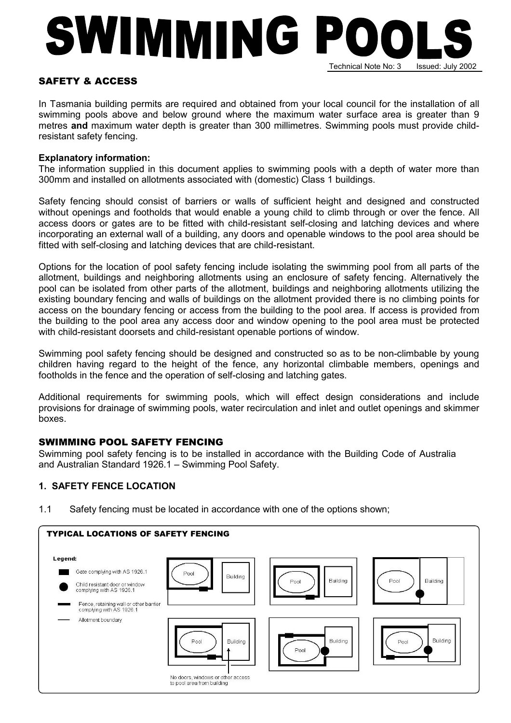# SWIMMING P Technical Note No: 3 Issued: July 2002

## SAFETY & ACCESS

In Tasmania building permits are required and obtained from your local council for the installation of all swimming pools above and below ground where the maximum water surface area is greater than 9 metres and maximum water depth is greater than 300 millimetres. Swimming pools must provide childresistant safety fencing.

#### Explanatory information:

The information supplied in this document applies to swimming pools with a depth of water more than 300mm and installed on allotments associated with (domestic) Class 1 buildings.

Safety fencing should consist of barriers or walls of sufficient height and designed and constructed without openings and footholds that would enable a young child to climb through or over the fence. All access doors or gates are to be fitted with child-resistant self-closing and latching devices and where incorporating an external wall of a building, any doors and openable windows to the pool area should be fitted with self-closing and latching devices that are child-resistant.

Options for the location of pool safety fencing include isolating the swimming pool from all parts of the allotment, buildings and neighboring allotments using an enclosure of safety fencing. Alternatively the pool can be isolated from other parts of the allotment, buildings and neighboring allotments utilizing the existing boundary fencing and walls of buildings on the allotment provided there is no climbing points for access on the boundary fencing or access from the building to the pool area. If access is provided from the building to the pool area any access door and window opening to the pool area must be protected with child-resistant doorsets and child-resistant openable portions of window.

Swimming pool safety fencing should be designed and constructed so as to be non-climbable by young children having regard to the height of the fence, any horizontal climbable members, openings and footholds in the fence and the operation of self-closing and latching gates.

Additional requirements for swimming pools, which will effect design considerations and include provisions for drainage of swimming pools, water recirculation and inlet and outlet openings and skimmer boxes.

## SWIMMING POOL SAFETY FENCING

Swimming pool safety fencing is to be installed in accordance with the Building Code of Australia and Australian Standard 1926.1 – Swimming Pool Safety.

## 1. SAFETY FENCE LOCATION

1.1 Safety fencing must be located in accordance with one of the options shown;

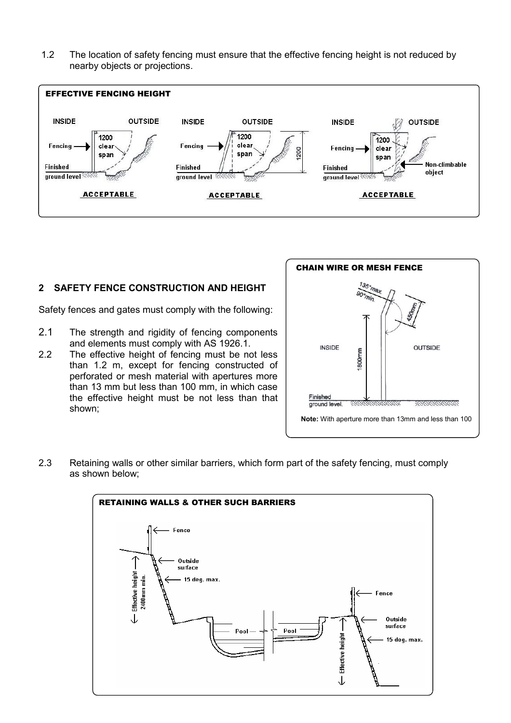1.2 The location of safety fencing must ensure that the effective fencing height is not reduced by nearby objects or projections.



#### 2 SAFETY FENCE CONSTRUCTION AND HEIGHT

Safety fences and gates must comply with the following:

- 2.1 The strength and rigidity of fencing components and elements must comply with AS 1926.1.
- 2.2 The effective height of fencing must be not less than 1.2 m, except for fencing constructed of perforated or mesh material with apertures more than 13 mm but less than 100 mm, in which case the effective height must be not less than that shown;



2.3 Retaining walls or other similar barriers, which form part of the safety fencing, must comply as shown below;

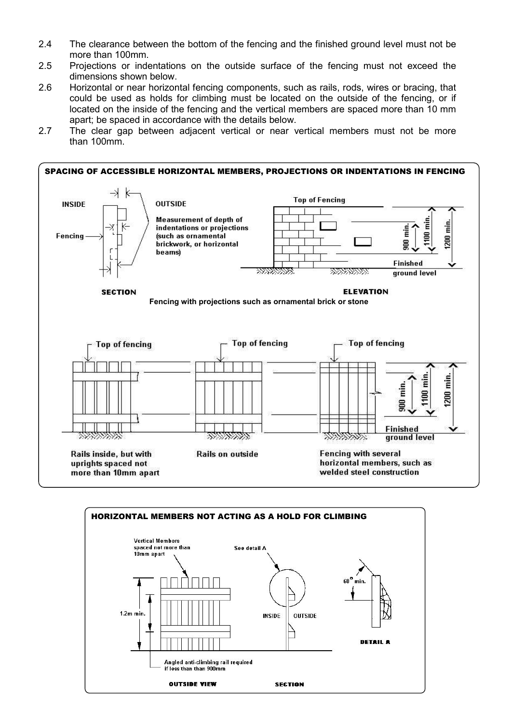- 2.4 The clearance between the bottom of the fencing and the finished ground level must not be more than 100mm.
- 2.5 Projections or indentations on the outside surface of the fencing must not exceed the dimensions shown below.
- 2.6 Horizontal or near horizontal fencing components, such as rails, rods, wires or bracing, that could be used as holds for climbing must be located on the outside of the fencing, or if located on the inside of the fencing and the vertical members are spaced more than 10 mm apart; be spaced in accordance [with the details](https://www.buyadderallonline247.com/) below.
- 2.7 The clear gap between adjacent vertical or near vertical members must not be more than 100mm.